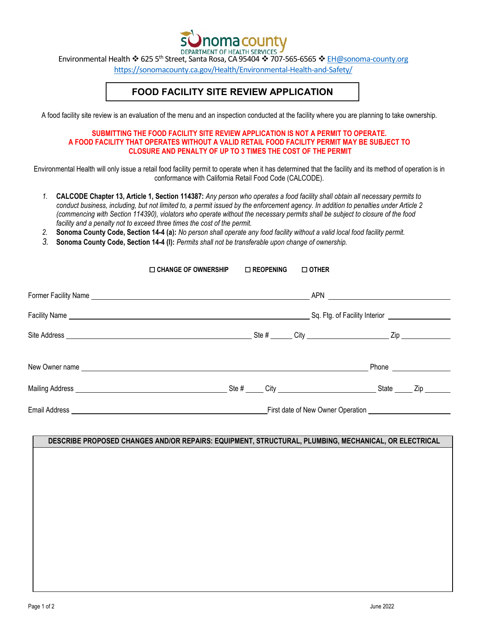

Environmental Health 625 5th Street, Santa Rosa, CA 95404 707-565-6565 EH@sonoma-county.org

https://sonomacounty.ca.gov/Health/Environmental-Health-and-Safety/

## **FOOD FACILITY SITE REVIEW APPLICATION**

A food facility site review is an evaluation of the menu and an inspection conducted at the facility where you are planning to take ownership.

## **SUBMITTING THE FOOD FACILITY SITE REVIEW APPLICATION IS NOT A PERMIT TO OPERATE. A FOOD FACILITY THAT OPERATES WITHOUT A VALID RETAIL FOOD FACILITY PERMIT MAY BE SUBJECT TO CLOSURE AND PENALTY OF UP TO 3 TIMES THE COST OF THE PERMIT**

Environmental Health will only issue a retail food facility permit to operate when it has determined that the facility and its method of operation is in conformance with California Retail Food Code (CALCODE).

- *1.* **CALCODE Chapter 13, Article 1, Section 114387:** *Any person who operates a food facility shall obtain all necessary permits to conduct business, including, but not limited to, a permit issued by the enforcement agency. In addition to penalties under Article 2 (commencing with Section 114390), violators who operate without the necessary permits shall be subject to closure of the food facility and a penalty not to exceed three times the cost of the permit.*
- *2.* **Sonoma County Code, Section 14-4 (a):** *No person shall operate any food facility without a valid local food facility permit.*
- *3.* **Sonoma County Code, Section 14-4 (l):** *Permits shall not be transferable upon change of ownership.*

| $\Box$ CHANGE OF OWNERSHIP                                                                                                                                                                                                     | $\Box$ REOPENING                                                                                                                                                                                                                                                                                     | $\Box$ OTHER |                         |  |  |  |
|--------------------------------------------------------------------------------------------------------------------------------------------------------------------------------------------------------------------------------|------------------------------------------------------------------------------------------------------------------------------------------------------------------------------------------------------------------------------------------------------------------------------------------------------|--------------|-------------------------|--|--|--|
| Former Facility Name experience and the contract of the contract of the contract of the contract of the contract of the contract of the contract of the contract of the contract of the contract of the contract of the contra |                                                                                                                                                                                                                                                                                                      |              |                         |  |  |  |
|                                                                                                                                                                                                                                | Sq. Ftg. of Facility Interior [1942] Sq. Ftg. of Facility Interior<br>Facility Name experience and the set of the set of the set of the set of the set of the set of the set of the set of the set of the set of the set of the set of the set of the set of the set of the set of the set of the se |              |                         |  |  |  |
|                                                                                                                                                                                                                                |                                                                                                                                                                                                                                                                                                      |              |                         |  |  |  |
| New Owner name experience and the set of the set of the set of the set of the set of the set of the set of the set of the set of the set of the set of the set of the set of the set of the set of the set of the set of the s |                                                                                                                                                                                                                                                                                                      |              | Phone _________________ |  |  |  |
|                                                                                                                                                                                                                                |                                                                                                                                                                                                                                                                                                      |              | Zip                     |  |  |  |
|                                                                                                                                                                                                                                |                                                                                                                                                                                                                                                                                                      |              |                         |  |  |  |

## **DESCRIBE PROPOSED CHANGES AND/OR REPAIRS: EQUIPMENT, STRUCTURAL, PLUMBING, MECHANICAL, OR ELECTRICAL**